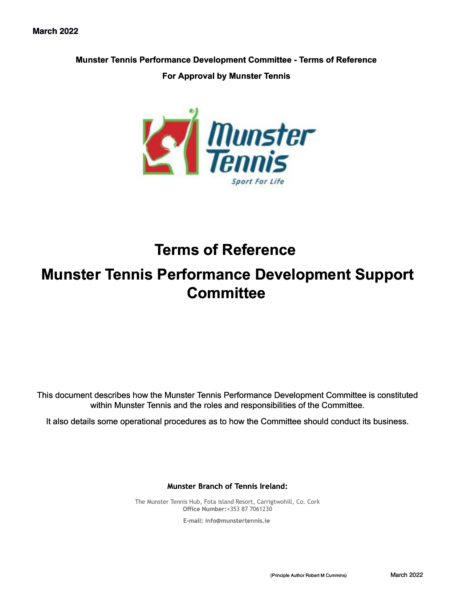#### **Munster Tennis Performance Development Committee - Terms of Reference**

#### **For Approval by Munster Tennis**



## **Terms of Reference**

# **Munster Tennis Performance Development Support Committee**

This document describes how the Munster Tennis Performance Development Committee is constituted within Munster Tennis and the roles and responsibilities of the Committee.

It also details some operational procedures as to how the Committee should conduct its business.

**Munster Branch of Tennis Ireland:**

The Munster Tennis Hub, Fota island Resort, Carrigtwohill, Co. Cork **Office Number:**+353 87 7061230

**E-mail: [info@munstertennis.ie](mailto:info@munstertennis.ie)**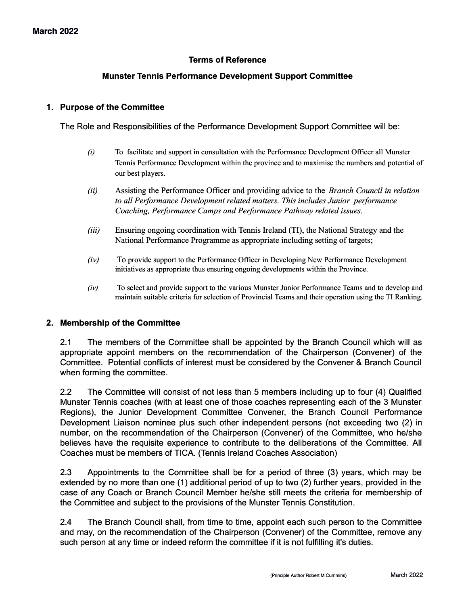## **Terms of Reference**

### **Munster Tennis Performance Development Support Committee**

#### **1. Purpose of the Committee**

The Role and Responsibilities of the Performance Development Support Committee will be:

- *(i)* To facilitate and support in consultation with the Performance Development Officer all Munster Tennis Performance Development within the province and to maximise the numbers and potential of our best players.
- *(ii)* Assisting the Performance Officer and providing advice to the *Branch Council in relation to all Performance Development related matters. This includes Junior performance Coaching, Performance Camps and Performance Pathway related issues.*
- *(iii)* Ensuring ongoing coordination with Tennis Ireland (TI), the National Strategy and the National Performance Programme as appropriate including setting of targets;
- *(iv)* To provide support to the Performance Officer in Developing New Performance Development initiatives as appropriate thus ensuring ongoing developments within the Province.
- *(iv)* To select and provide support to the various Munster Junior Performance Teams and to develop and maintain suitable criteria for selection of Provincial Teams and their operation using the TI Ranking.

#### **2. Membership of the Committee**

2.1 The members of the Committee shall be appointed by the Branch Council which will as appropriate appoint members on the recommendation of the Chairperson (Convener) of the Committee. Potential conflicts of interest must be considered by the Convener & Branch Council when forming the committee.

2.2 The Committee will consist of not less than 5 members including up to four (4) Qualified Munster Tennis coaches (with at least one of those coaches representing each of the 3 Munster Regions), the Junior Development Committee Convener, the Branch Council Performance Development Liaison nominee plus such other independent persons (not exceeding two (2) in number, on the recommendation of the Chairperson (Convener) of the Committee, who he/she believes have the requisite experience to contribute to the deliberations of the Committee. All Coaches must be members of TICA. (Tennis Ireland Coaches Association)

2.3 Appointments to the Committee shall be for a period of three (3) years, which may be extended by no more than one (1) additional period of up to two (2) further years, provided in the case of any Coach or Branch Council Member he/she still meets the criteria for membership of the Committee and subject to the provisions of the Munster Tennis Constitution.

2.4 The Branch Council shall, from time to time, appoint each such person to the Committee and may, on the recommendation of the Chairperson (Convener) of the Committee, remove any such person at any time or indeed reform the committee if it is not fulfilling it's duties.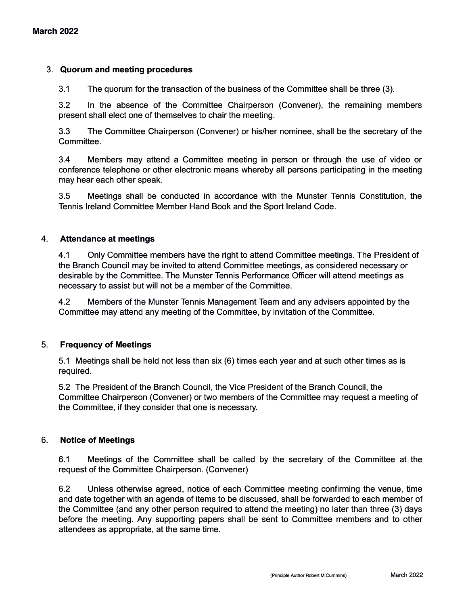#### 3. **Quorum and meeting procedures**

3.1 The quorum for the transaction of the business of the Committee shall be three (3).

3.2 In the absence of the Committee Chairperson (Convener), the remaining members present shall elect one of themselves to chair the meeting.

3.3 The Committee Chairperson (Convener) or his/her nominee, shall be the secretary of the Committee.

3.4 Members may attend a Committee meeting in person or through the use of video or conference telephone or other electronic means whereby all persons participating in the meeting may hear each other speak.

3.5 Meetings shall be conducted in accordance with the Munster Tennis Constitution, the Tennis Ireland Committee Member Hand Book and the Sport Ireland Code.

#### 4. **Attendance at meetings**

4.1 Only Committee members have the right to attend Committee meetings. The President of the Branch Council may be invited to attend Committee meetings, as considered necessary or desirable by the Committee. The Munster Tennis Performance Officer will attend meetings as necessary to assist but will not be a member of the Committee.

4.2 Members of the Munster Tennis Management Team and any advisers appointed by the Committee may attend any meeting of the Committee, by invitation of the Committee.

#### 5. **Frequency of Meetings**

5.1 Meetings shall be held not less than six (6) times each year and at such other times as is required.

5.2 The President of the Branch Council, the Vice President of the Branch Council, the Committee Chairperson (Convener) or two members of the Committee may request a meeting of the Committee, if they consider that one is necessary.

#### 6. **Notice of Meetings**

6.1 Meetings of the Committee shall be called by the secretary of the Committee at the request of the Committee Chairperson. (Convener)

6.2 Unless otherwise agreed, notice of each Committee meeting confirming the venue, time and date together with an agenda of items to be discussed, shall be forwarded to each member of the Committee (and any other person required to attend the meeting) no later than three (3) days before the meeting. Any supporting papers shall be sent to Committee members and to other attendees as appropriate, at the same time.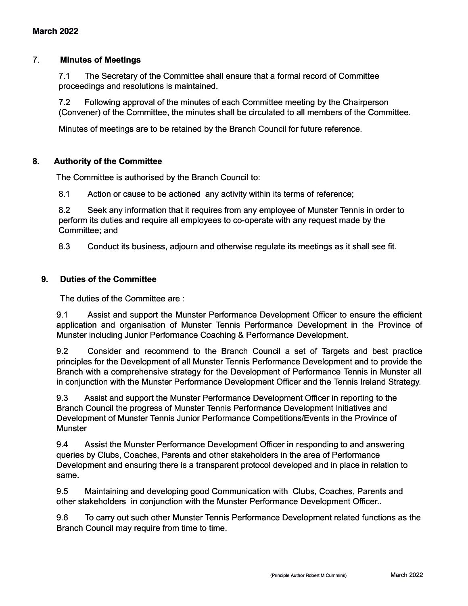#### 7. **Minutes of Meetings**

7.1 The Secretary of the Committee shall ensure that a formal record of Committee proceedings and resolutions is maintained.

7.2 Following approval of the minutes of each Committee meeting by the Chairperson (Convener) of the Committee, the minutes shall be circulated to all members of the Committee.

Minutes of meetings are to be retained by the Branch Council for future reference.

#### **8. Authority of the Committee**

The Committee is authorised by the Branch Council to:

8.1 Action or cause to be actioned any activity within its terms of reference;

8.2 Seek any information that it requires from any employee of Munster Tennis in order to perform its duties and require all employees to co-operate with any request made by the Committee; and

8.3 Conduct its business, adjourn and otherwise regulate its meetings as it shall see fit.

## **9. Duties of the Committee**

The duties of the Committee are :

9.1 Assist and support the Munster Performance Development Officer to ensure the efficient application and organisation of Munster Tennis Performance Development in the Province of Munster including Junior Performance Coaching & Performance Development.

9.2 Consider and recommend to the Branch Council a set of Targets and best practice principles for the Development of all Munster Tennis Performance Development and to provide the Branch with a comprehensive strategy for the Development of Performance Tennis in Munster all in conjunction with the Munster Performance Development Officer and the Tennis Ireland Strategy.

9.3 Assist and support the Munster Performance Development Officer in reporting to the Branch Council the progress of Munster Tennis Performance Development Initiatives and Development of Munster Tennis Junior Performance Competitions/Events in the Province of **Munster** 

9.4 Assist the Munster Performance Development Officer in responding to and answering queries by Clubs, Coaches, Parents and other stakeholders in the area of Performance Development and ensuring there is a transparent protocol developed and in place in relation to same.

9.5 Maintaining and developing good Communication with Clubs, Coaches, Parents and other stakeholders in conjunction with the Munster Performance Development Officer..

9.6 To carry out such other Munster Tennis Performance Development related functions as the Branch Council may require from time to time.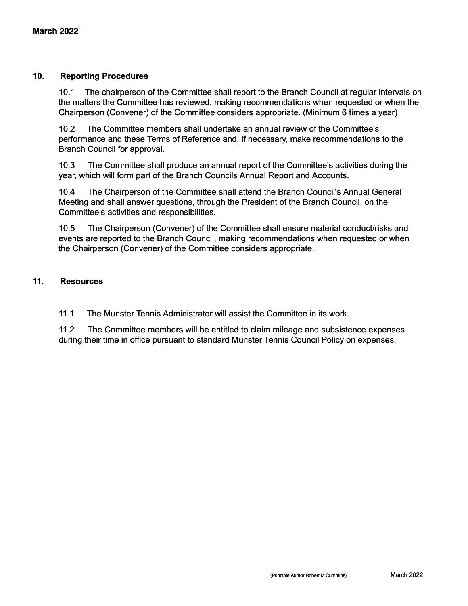### **10. Reporting Procedures**

10.1 The chairperson of the Committee shall report to the Branch Council at regular intervals on the matters the Committee has reviewed, making recommendations when requested or when the Chairperson (Convener) of the Committee considers appropriate. (Minimum 6 times a year)

10.2 The Committee members shall undertake an annual review of the Committee's performance and these Terms of Reference and, if necessary, make recommendations to the Branch Council for approval.

10.3 The Committee shall produce an annual report of the Committee's activities during the year, which will form part of the Branch Councils Annual Report and Accounts.

10.4 The Chairperson of the Committee shall attend the Branch Council's Annual General Meeting and shall answer questions, through the President of the Branch Council, on the Committee's activities and responsibilities.

10.5 The Chairperson (Convener) of the Committee shall ensure material conduct/risks and events are reported to the Branch Council, making recommendations when requested or when the Chairperson (Convener) of the Committee considers appropriate.

#### **11. Resources**

11.1 The Munster Tennis Administrator will assist the Committee in its work.

11.2 The Committee members will be entitled to claim mileage and subsistence expenses during their time in office pursuant to standard Munster Tennis Council Policy on expenses.